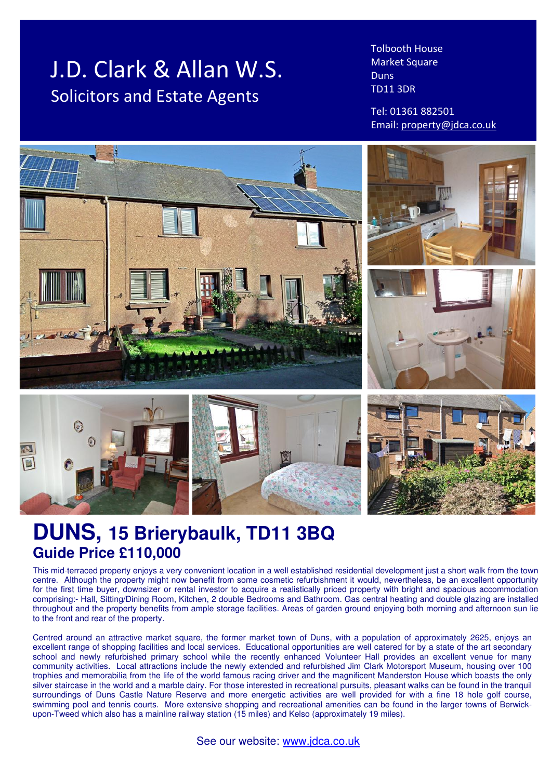# J.D. Clark & Allan W.S. Solicitors and Estate Agents

Tolbooth House Market Square Duns TD11 3DR

Tel: 01361 882501 Email: property@jdca.co.uk



# **DUNS, 15 Brierybaulk, TD11 3BQ Guide Price £110,000**

This mid-terraced property enjoys a very convenient location in a well established residential development just a short walk from the town centre. Although the property might now benefit from some cosmetic refurbishment it would, nevertheless, be an excellent opportunity for the first time buyer, downsizer or rental investor to acquire a realistically priced property with bright and spacious accommodation comprising:- Hall, Sitting/Dining Room, Kitchen, 2 double Bedrooms and Bathroom. Gas central heating and double glazing are installed throughout and the property benefits from ample storage facilities. Areas of garden ground enjoying both morning and afternoon sun lie to the front and rear of the property.

Centred around an attractive market square, the former market town of Duns, with a population of approximately 2625, enjoys an excellent range of shopping facilities and local services. Educational opportunities are well catered for by a state of the art secondary school and newly refurbished primary school while the recently enhanced Volunteer Hall provides an excellent venue for many community activities. Local attractions include the newly extended and refurbished Jim Clark Motorsport Museum, housing over 100 trophies and memorabilia from the life of the world famous racing driver and the magnificent Manderston House which boasts the only silver staircase in the world and a marble dairy. For those interested in recreational pursuits, pleasant walks can be found in the tranquil surroundings of Duns Castle Nature Reserve and more energetic activities are well provided for with a fine 18 hole golf course, swimming pool and tennis courts. More extensive shopping and recreational amenities can be found in the larger towns of Berwickupon-Tweed which also has a mainline railway station (15 miles) and Kelso (approximately 19 miles).